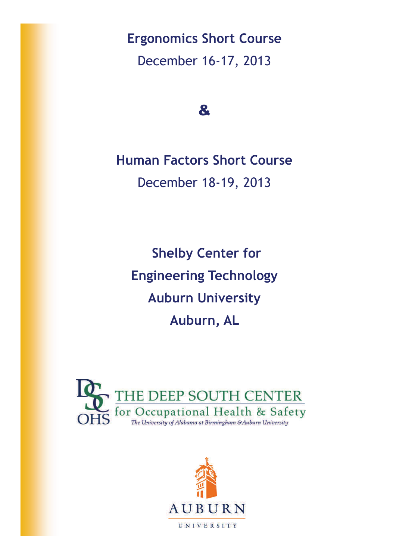**Ergonomics Short Course**  December 16-17, 2013

&

**Human Factors Short Course**  December 18-19, 2013

**Shelby Center for Engineering Technology Auburn University Auburn, AL** 



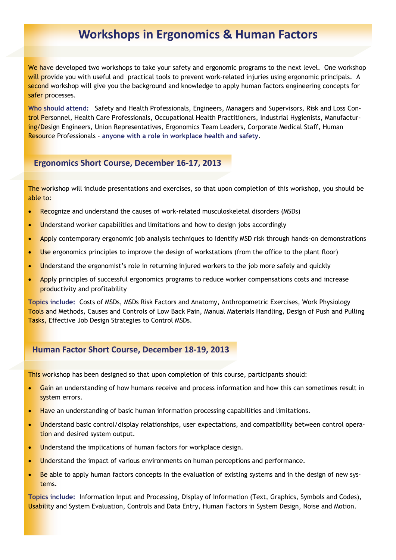# **Workshops in Ergonomics & Human Factors**

We have developed two workshops to take your safety and ergonomic programs to the next level. One workshop will provide you with useful and practical tools to prevent work-related injuries using ergonomic principals. A second workshop will give you the background and knowledge to apply human factors engineering concepts for safer processes.

**Who should attend:** Safety and Health Professionals, Engineers, Managers and Supervisors, Risk and Loss Control Personnel, Health Care Professionals, Occupational Health Practitioners, Industrial Hygienists, Manufacturing/Design Engineers, Union Representatives, Ergonomics Team Leaders, Corporate Medical Staff, Human Resource Professionals - **anyone with a role in workplace health and safety**.

### **Ergonomics Short Course, December 16‐17, 2013**

The workshop will include presentations and exercises, so that upon completion of this workshop, you should be able to:

- Recognize and understand the causes of work-related musculoskeletal disorders (MSDs)
- Understand worker capabilities and limitations and how to design jobs accordingly
- Apply contemporary ergonomic job analysis techniques to identify MSD risk through hands-on demonstrations
- Use ergonomics principles to improve the design of workstations (from the office to the plant floor)
- Understand the ergonomist's role in returning injured workers to the job more safely and quickly
- Apply principles of successful ergonomics programs to reduce worker compensations costs and increase productivity and profitability

**Topics include:** Costs of MSDs, MSDs Risk Factors and Anatomy, Anthropometric Exercises, Work Physiology Tools and Methods, Causes and Controls of Low Back Pain, Manual Materials Handling, Design of Push and Pulling Tasks, Effective Job Design Strategies to Control MSDs.

### **Human Factor Short Course, December 18‐19, 2013**

This workshop has been designed so that upon completion of this course, participants should:

- Gain an understanding of how humans receive and process information and how this can sometimes result in system errors.
- Have an understanding of basic human information processing capabilities and limitations.
- Understand basic control/display relationships, user expectations, and compatibility between control operation and desired system output.
- **.** Understand the implications of human factors for workplace design.
- Understand the impact of various environments on human perceptions and performance.
- **Be able to apply human factors concepts in the evaluation of existing systems and in the design of new sys**tems.

**Topics include:** Information Input and Processing, Display of Information (Text, Graphics, Symbols and Codes), Usability and System Evaluation, Controls and Data Entry, Human Factors in System Design, Noise and Motion.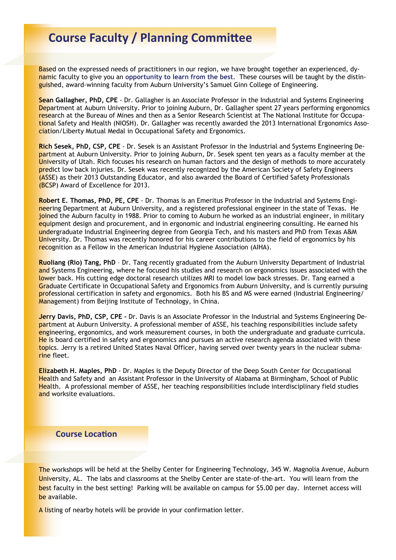## **Course Faculty / Planning CommiƩee**

Based on the expressed needs of practitioners in our region, we have brought together an experienced, dynamic faculty to give you an **opportunity to learn from the best**. These courses will be taught by the distinguished, award-winning faculty from Auburn University's Samuel Ginn College of Engineering.

**Sean Gallagher, PhD, CPE** - Dr. Gallagher is an Associate Professor in the Industrial and Systems Engineering Department at Auburn University. Prior to joining Auburn, Dr. Gallagher spent 27 years performing ergonomics research at the Bureau of Mines and then as a Senior Research Scientist at The National Institute for Occupational Safety and Health (NIOSH). Dr. Gallagher was recently awarded the 2013 International Ergonomics Association/Liberty Mutual Medal in Occupational Safety and Ergonomics.

**Rich Sesek, PhD, CSP, CPE** - Dr. Sesek is an Assistant Professor in the Industrial and Systems Engineering Department at Auburn University. Prior to joining Auburn, Dr. Sesek spent ten years as a faculty member at the University of Utah. Rich focuses his research on human factors and the design of methods to more accurately predict low back injuries. Dr. Sesek was recently recognized by the American Society of Safety Engineers (ASSE) as their 2013 Outstanding Educator, and also awarded the Board of Certified Safety Professionals (BCSP) Award of Excellence for 2013.

**Robert E. Thomas, PhD, PE, CPE** - Dr. Thomas is an Emeritus Professor in the Industrial and Systems Engineering Department at Auburn University, and a registered professional engineer in the state of Texas. He joined the Auburn faculty in 1988. Prior to coming to Auburn he worked as an industrial engineer, in military equipment design and procurement, and in ergonomic and industrial engineering consulting. He earned his undergraduate Industrial Engineering degree from Georgia Tech, and his masters and PhD from Texas A&M University. Dr. Thomas was recently honored for his career contributions to the field of ergonomics by his recognition as a Fellow in the American Industrial Hygiene Association (AIHA).

**Ruoliang (Rio) Tang, PhD** – Dr. Tang recently graduated from the Auburn University Department of Industrial and Systems Engineering, where he focused his studies and research on ergonomics issues associated with the lower back. His cutting edge doctoral research utilizes MRI to model low back stresses. Dr. Tang earned a Graduate Certificate in Occupational Safety and Ergonomics from Auburn University, and is currently pursuing professional certification in safety and ergonomics. Both his BS and MS were earned (Industrial Engineering/ Management) from Beijing Institute of Technology, in China.

**Jerry Davis, PhD, CSP, CPE -** Dr. Davis is an Associate Professor in the Industrial and Systems Engineering Department at Auburn University. A professional member of ASSE, his teaching responsibilities include safety engineering, ergonomics, and work measurement courses, in both the undergraduate and graduate curricula. He is board certified in safety and ergonomics and pursues an active research agenda associated with these topics. Jerry is a retired United States Naval Officer, having served over twenty years in the nuclear submarine fleet.

**Elizabeth H. Maples, PhD** - Dr. Maples is the Deputy Director of the Deep South Center for Occupational Health and Safety and an Assistant Professor in the University of Alabama at Birmingham, School of Public Health. A professional member of ASSE, her teaching responsibilities include interdisciplinary field studies and worksite evaluations.

### **Course LocaƟon**

The workshops will be held at the Shelby Center for Engineering Technology, 345 W. Magnolia Avenue, Auburn University, AL. The labs and classrooms at the Shelby Center are state-of-the-art. You will learn from the best faculty in the best setting! Parking will be available on campus for \$5.00 per day. Internet access will be available.

A listing of nearby hotels will be provide in your confirmation letter.